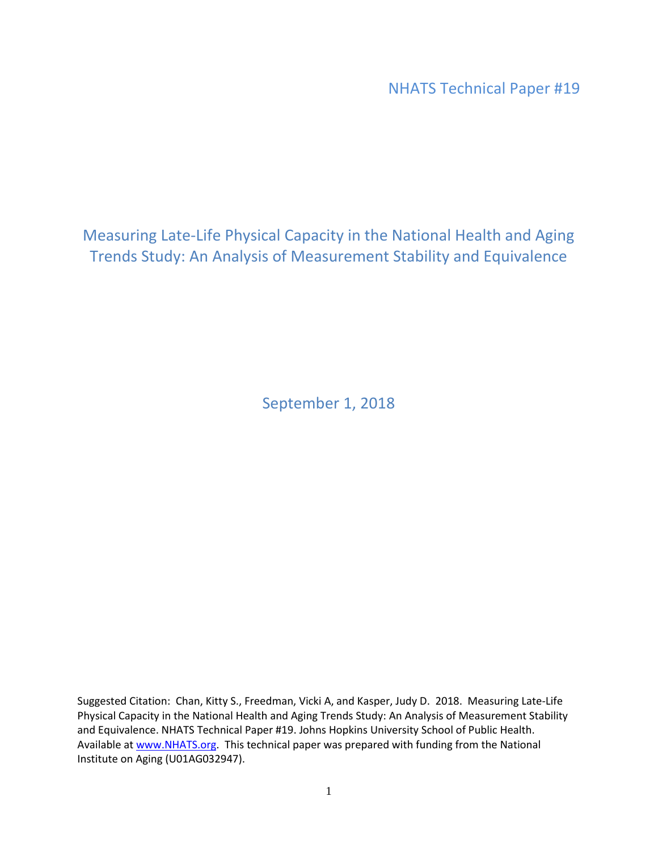NHATS Technical Paper #19

Measuring Late-Life Physical Capacity in the National Health and Aging Trends Study: An Analysis of Measurement Stability and Equivalence

September 1, 2018

Suggested Citation: Chan, Kitty S., Freedman, Vicki A, and Kasper, Judy D. 2018. Measuring Late-Life Physical Capacity in the National Health and Aging Trends Study: An Analysis of Measurement Stability and Equivalence. NHATS Technical Paper #19. Johns Hopkins University School of Public Health. Available a[t www.NHATS.org.](http://www.nhats.org/) This technical paper was prepared with funding from the National Institute on Aging (U01AG032947).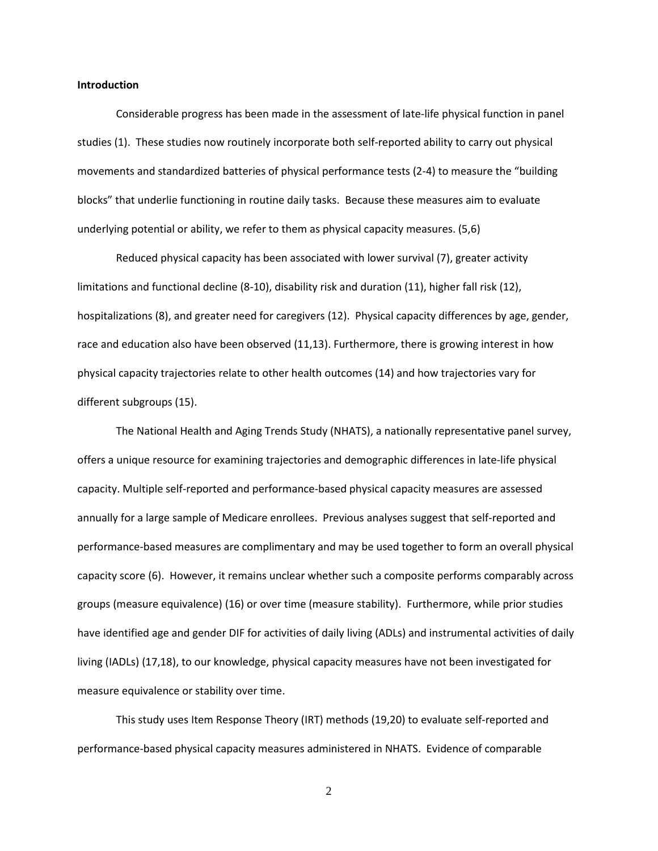#### **Introduction**

Considerable progress has been made in the assessment of late-life physical function in panel studies (1). These studies now routinely incorporate both self-reported ability to carry out physical movements and standardized batteries of physical performance tests (2-4) to measure the "building blocks" that underlie functioning in routine daily tasks. Because these measures aim to evaluate underlying potential or ability, we refer to them as physical capacity measures. (5,6)

Reduced physical capacity has been associated with lower survival (7), greater activity limitations and functional decline (8-10), disability risk and duration (11), higher fall risk (12), hospitalizations (8), and greater need for caregivers (12). Physical capacity differences by age, gender, race and education also have been observed (11,13). Furthermore, there is growing interest in how physical capacity trajectories relate to other health outcomes (14) and how trajectories vary for different subgroups (15).

The National Health and Aging Trends Study (NHATS), a nationally representative panel survey, offers a unique resource for examining trajectories and demographic differences in late-life physical capacity. Multiple self-reported and performance-based physical capacity measures are assessed annually for a large sample of Medicare enrollees. Previous analyses suggest that self-reported and performance-based measures are complimentary and may be used together to form an overall physical capacity score (6). However, it remains unclear whether such a composite performs comparably across groups (measure equivalence) (16) or over time (measure stability). Furthermore, while prior studies have identified age and gender DIF for activities of daily living (ADLs) and instrumental activities of daily living (IADLs) (17,18), to our knowledge, physical capacity measures have not been investigated for measure equivalence or stability over time.

This study uses Item Response Theory (IRT) methods (19,20) to evaluate self-reported and performance-based physical capacity measures administered in NHATS. Evidence of comparable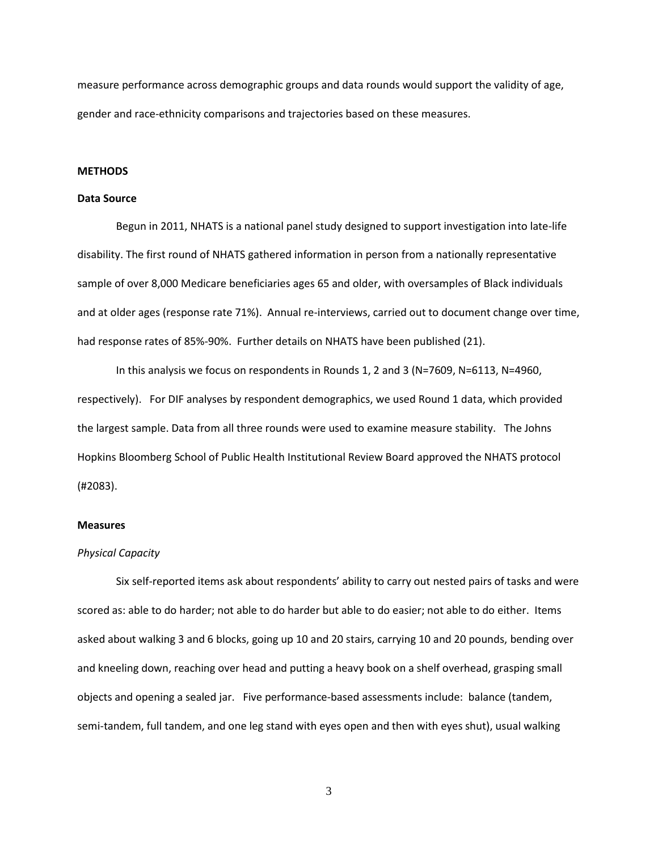measure performance across demographic groups and data rounds would support the validity of age, gender and race-ethnicity comparisons and trajectories based on these measures.

#### **METHODS**

#### **Data Source**

Begun in 2011, NHATS is a national panel study designed to support investigation into late-life disability. The first round of NHATS gathered information in person from a nationally representative sample of over 8,000 Medicare beneficiaries ages 65 and older, with oversamples of Black individuals and at older ages (response rate 71%). Annual re-interviews, carried out to document change over time, had response rates of 85%-90%. Further details on NHATS have been published (21).

In this analysis we focus on respondents in Rounds 1, 2 and 3 (N=7609, N=6113, N=4960, respectively). For DIF analyses by respondent demographics, we used Round 1 data, which provided the largest sample. Data from all three rounds were used to examine measure stability. The Johns Hopkins Bloomberg School of Public Health Institutional Review Board approved the NHATS protocol (#2083).

## **Measures**

#### *Physical Capacity*

Six self-reported items ask about respondents' ability to carry out nested pairs of tasks and were scored as: able to do harder; not able to do harder but able to do easier; not able to do either. Items asked about walking 3 and 6 blocks, going up 10 and 20 stairs, carrying 10 and 20 pounds, bending over and kneeling down, reaching over head and putting a heavy book on a shelf overhead, grasping small objects and opening a sealed jar. Five performance-based assessments include: balance (tandem, semi-tandem, full tandem, and one leg stand with eyes open and then with eyes shut), usual walking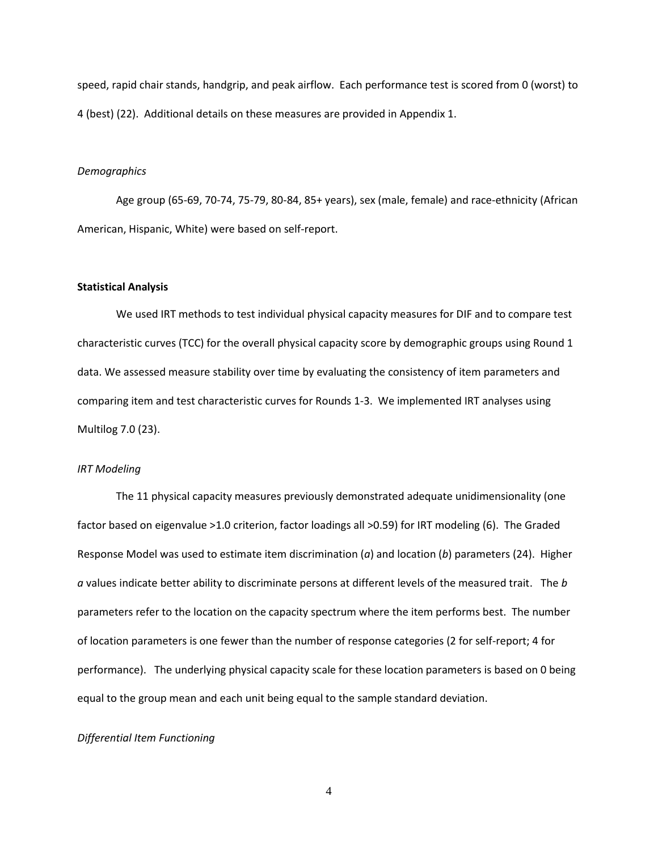speed, rapid chair stands, handgrip, and peak airflow. Each performance test is scored from 0 (worst) to 4 (best) (22). Additional details on these measures are provided in Appendix 1.

#### *Demographics*

Age group (65-69, 70-74, 75-79, 80-84, 85+ years), sex (male, female) and race-ethnicity (African American, Hispanic, White) were based on self-report.

## **Statistical Analysis**

We used IRT methods to test individual physical capacity measures for DIF and to compare test characteristic curves (TCC) for the overall physical capacity score by demographic groups using Round 1 data. We assessed measure stability over time by evaluating the consistency of item parameters and comparing item and test characteristic curves for Rounds 1-3. We implemented IRT analyses using Multilog 7.0 (23).

#### *IRT Modeling*

The 11 physical capacity measures previously demonstrated adequate unidimensionality (one factor based on eigenvalue >1.0 criterion, factor loadings all >0.59) for IRT modeling (6). The Graded Response Model was used to estimate item discrimination (*a*) and location (*b*) parameters (24). Higher *a* values indicate better ability to discriminate persons at different levels of the measured trait. The *b* parameters refer to the location on the capacity spectrum where the item performs best. The number of location parameters is one fewer than the number of response categories (2 for self-report; 4 for performance). The underlying physical capacity scale for these location parameters is based on 0 being equal to the group mean and each unit being equal to the sample standard deviation.

# *Differential Item Functioning*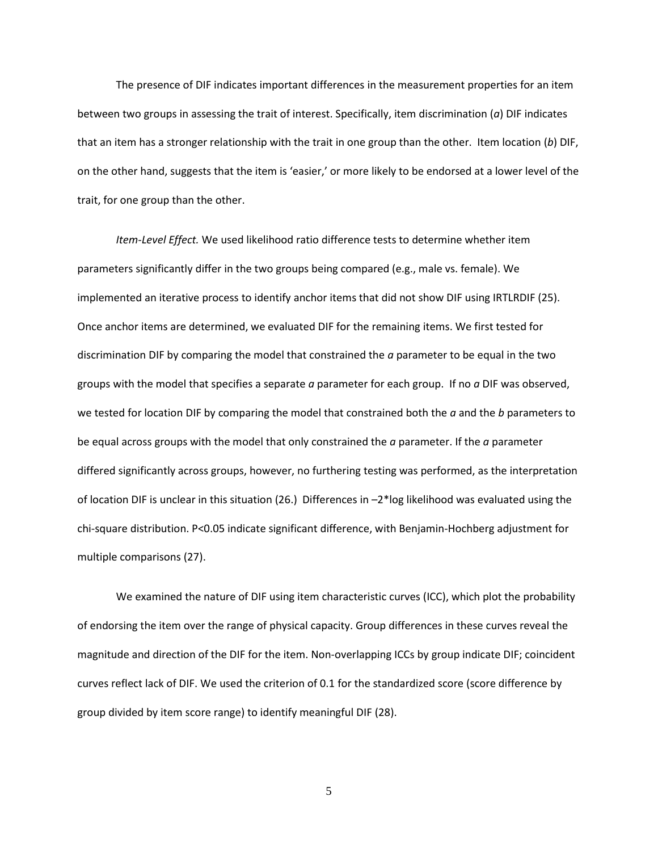The presence of DIF indicates important differences in the measurement properties for an item between two groups in assessing the trait of interest. Specifically, item discrimination (*a*) DIF indicates that an item has a stronger relationship with the trait in one group than the other. Item location (*b*) DIF, on the other hand, suggests that the item is 'easier,' or more likely to be endorsed at a lower level of the trait, for one group than the other.

*Item-Level Effect.* We used likelihood ratio difference tests to determine whether item parameters significantly differ in the two groups being compared (e.g., male vs. female). We implemented an iterative process to identify anchor items that did not show DIF using IRTLRDIF (25). Once anchor items are determined, we evaluated DIF for the remaining items. We first tested for discrimination DIF by comparing the model that constrained the *a* parameter to be equal in the two groups with the model that specifies a separate *a* parameter for each group. If no *a* DIF was observed, we tested for location DIF by comparing the model that constrained both the *a* and the *b* parameters to be equal across groups with the model that only constrained the *a* parameter. If the *a* parameter differed significantly across groups, however, no furthering testing was performed, as the interpretation of location DIF is unclear in this situation (26.) Differences in –2\*log likelihood was evaluated using the chi-square distribution. P<0.05 indicate significant difference, with Benjamin-Hochberg adjustment for multiple comparisons (27).

We examined the nature of DIF using item characteristic curves (ICC), which plot the probability of endorsing the item over the range of physical capacity. Group differences in these curves reveal the magnitude and direction of the DIF for the item. Non-overlapping ICCs by group indicate DIF; coincident curves reflect lack of DIF. We used the criterion of 0.1 for the standardized score (score difference by group divided by item score range) to identify meaningful DIF (28).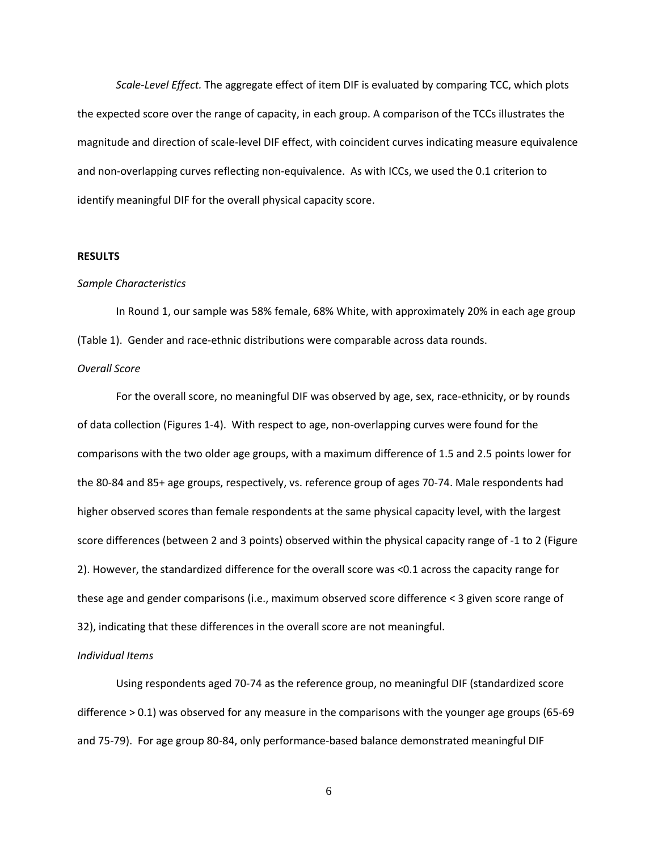*Scale-Level Effect.* The aggregate effect of item DIF is evaluated by comparing TCC, which plots the expected score over the range of capacity, in each group. A comparison of the TCCs illustrates the magnitude and direction of scale-level DIF effect, with coincident curves indicating measure equivalence and non-overlapping curves reflecting non-equivalence. As with ICCs, we used the 0.1 criterion to identify meaningful DIF for the overall physical capacity score.

#### **RESULTS**

#### *Sample Characteristics*

In Round 1, our sample was 58% female, 68% White, with approximately 20% in each age group (Table 1). Gender and race-ethnic distributions were comparable across data rounds.

# *Overall Score*

For the overall score, no meaningful DIF was observed by age, sex, race-ethnicity, or by rounds of data collection (Figures 1-4). With respect to age, non-overlapping curves were found for the comparisons with the two older age groups, with a maximum difference of 1.5 and 2.5 points lower for the 80-84 and 85+ age groups, respectively, vs. reference group of ages 70-74. Male respondents had higher observed scores than female respondents at the same physical capacity level, with the largest score differences (between 2 and 3 points) observed within the physical capacity range of -1 to 2 (Figure 2). However, the standardized difference for the overall score was <0.1 across the capacity range for these age and gender comparisons (i.e., maximum observed score difference < 3 given score range of 32), indicating that these differences in the overall score are not meaningful.

#### *Individual Items*

Using respondents aged 70-74 as the reference group, no meaningful DIF (standardized score difference > 0.1) was observed for any measure in the comparisons with the younger age groups (65-69 and 75-79). For age group 80-84, only performance-based balance demonstrated meaningful DIF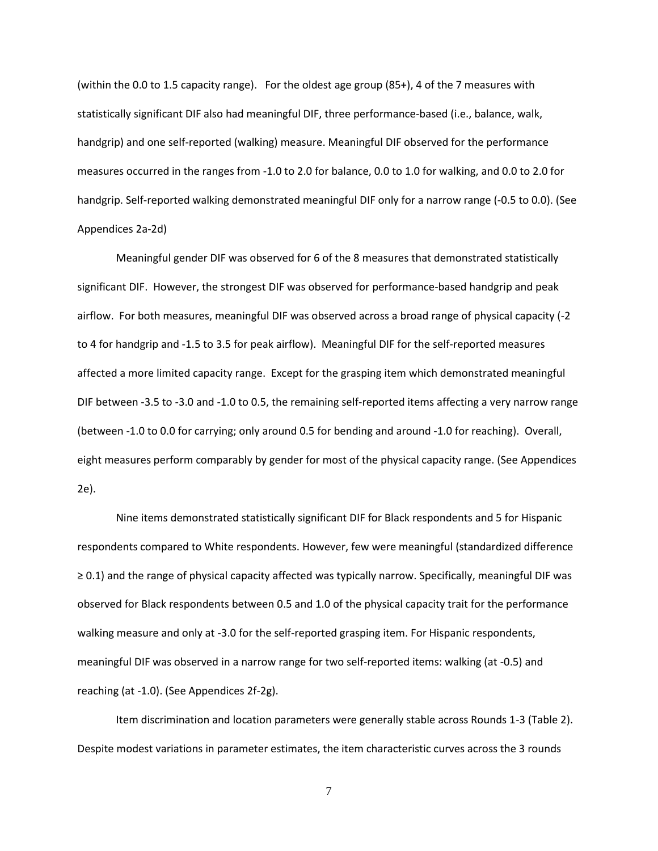(within the 0.0 to 1.5 capacity range). For the oldest age group (85+), 4 of the 7 measures with statistically significant DIF also had meaningful DIF, three performance-based (i.e., balance, walk, handgrip) and one self-reported (walking) measure. Meaningful DIF observed for the performance measures occurred in the ranges from -1.0 to 2.0 for balance, 0.0 to 1.0 for walking, and 0.0 to 2.0 for handgrip. Self-reported walking demonstrated meaningful DIF only for a narrow range (-0.5 to 0.0). (See Appendices 2a-2d)

Meaningful gender DIF was observed for 6 of the 8 measures that demonstrated statistically significant DIF. However, the strongest DIF was observed for performance-based handgrip and peak airflow. For both measures, meaningful DIF was observed across a broad range of physical capacity (-2 to 4 for handgrip and -1.5 to 3.5 for peak airflow). Meaningful DIF for the self-reported measures affected a more limited capacity range. Except for the grasping item which demonstrated meaningful DIF between -3.5 to -3.0 and -1.0 to 0.5, the remaining self-reported items affecting a very narrow range (between -1.0 to 0.0 for carrying; only around 0.5 for bending and around -1.0 for reaching). Overall, eight measures perform comparably by gender for most of the physical capacity range. (See Appendices 2e).

Nine items demonstrated statistically significant DIF for Black respondents and 5 for Hispanic respondents compared to White respondents. However, few were meaningful (standardized difference ≥ 0.1) and the range of physical capacity affected was typically narrow. Specifically, meaningful DIF was observed for Black respondents between 0.5 and 1.0 of the physical capacity trait for the performance walking measure and only at -3.0 for the self-reported grasping item. For Hispanic respondents, meaningful DIF was observed in a narrow range for two self-reported items: walking (at -0.5) and reaching (at -1.0). (See Appendices 2f-2g).

Item discrimination and location parameters were generally stable across Rounds 1-3 (Table 2). Despite modest variations in parameter estimates, the item characteristic curves across the 3 rounds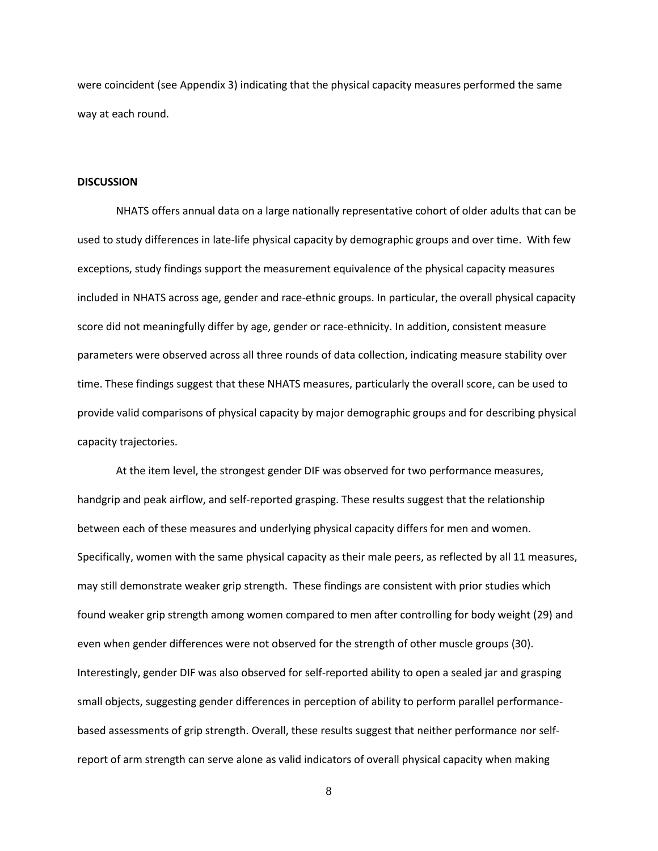were coincident (see Appendix 3) indicating that the physical capacity measures performed the same way at each round.

#### **DISCUSSION**

NHATS offers annual data on a large nationally representative cohort of older adults that can be used to study differences in late-life physical capacity by demographic groups and over time. With few exceptions, study findings support the measurement equivalence of the physical capacity measures included in NHATS across age, gender and race-ethnic groups. In particular, the overall physical capacity score did not meaningfully differ by age, gender or race-ethnicity. In addition, consistent measure parameters were observed across all three rounds of data collection, indicating measure stability over time. These findings suggest that these NHATS measures, particularly the overall score, can be used to provide valid comparisons of physical capacity by major demographic groups and for describing physical capacity trajectories.

At the item level, the strongest gender DIF was observed for two performance measures, handgrip and peak airflow, and self-reported grasping. These results suggest that the relationship between each of these measures and underlying physical capacity differs for men and women. Specifically, women with the same physical capacity as their male peers, as reflected by all 11 measures, may still demonstrate weaker grip strength. These findings are consistent with prior studies which found weaker grip strength among women compared to men after controlling for body weight (29) and even when gender differences were not observed for the strength of other muscle groups (30). Interestingly, gender DIF was also observed for self-reported ability to open a sealed jar and grasping small objects, suggesting gender differences in perception of ability to perform parallel performancebased assessments of grip strength. Overall, these results suggest that neither performance nor selfreport of arm strength can serve alone as valid indicators of overall physical capacity when making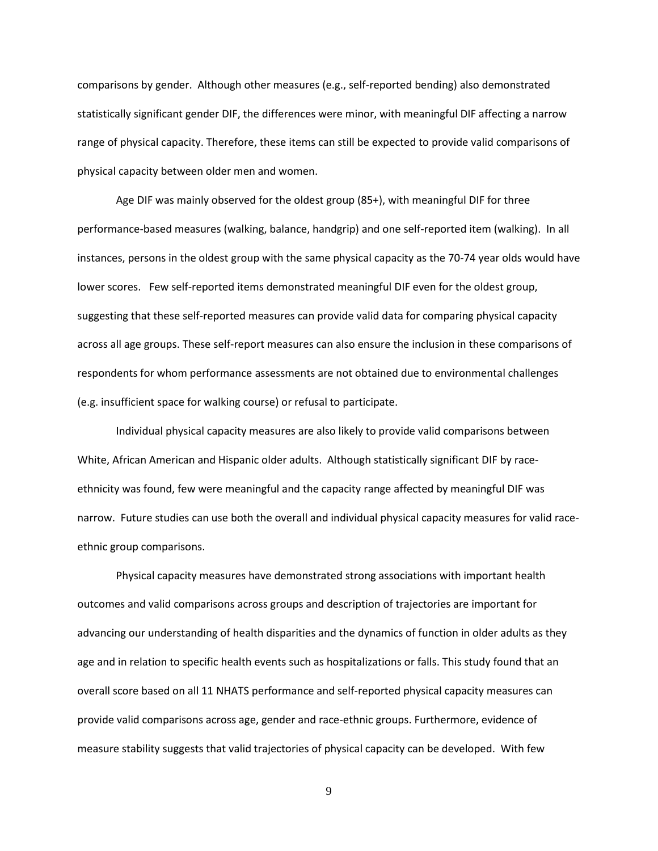comparisons by gender. Although other measures (e.g., self-reported bending) also demonstrated statistically significant gender DIF, the differences were minor, with meaningful DIF affecting a narrow range of physical capacity. Therefore, these items can still be expected to provide valid comparisons of physical capacity between older men and women.

Age DIF was mainly observed for the oldest group (85+), with meaningful DIF for three performance-based measures (walking, balance, handgrip) and one self-reported item (walking). In all instances, persons in the oldest group with the same physical capacity as the 70-74 year olds would have lower scores. Few self-reported items demonstrated meaningful DIF even for the oldest group, suggesting that these self-reported measures can provide valid data for comparing physical capacity across all age groups. These self-report measures can also ensure the inclusion in these comparisons of respondents for whom performance assessments are not obtained due to environmental challenges (e.g. insufficient space for walking course) or refusal to participate.

Individual physical capacity measures are also likely to provide valid comparisons between White, African American and Hispanic older adults. Although statistically significant DIF by raceethnicity was found, few were meaningful and the capacity range affected by meaningful DIF was narrow. Future studies can use both the overall and individual physical capacity measures for valid raceethnic group comparisons.

Physical capacity measures have demonstrated strong associations with important health outcomes and valid comparisons across groups and description of trajectories are important for advancing our understanding of health disparities and the dynamics of function in older adults as they age and in relation to specific health events such as hospitalizations or falls. This study found that an overall score based on all 11 NHATS performance and self-reported physical capacity measures can provide valid comparisons across age, gender and race-ethnic groups. Furthermore, evidence of measure stability suggests that valid trajectories of physical capacity can be developed. With few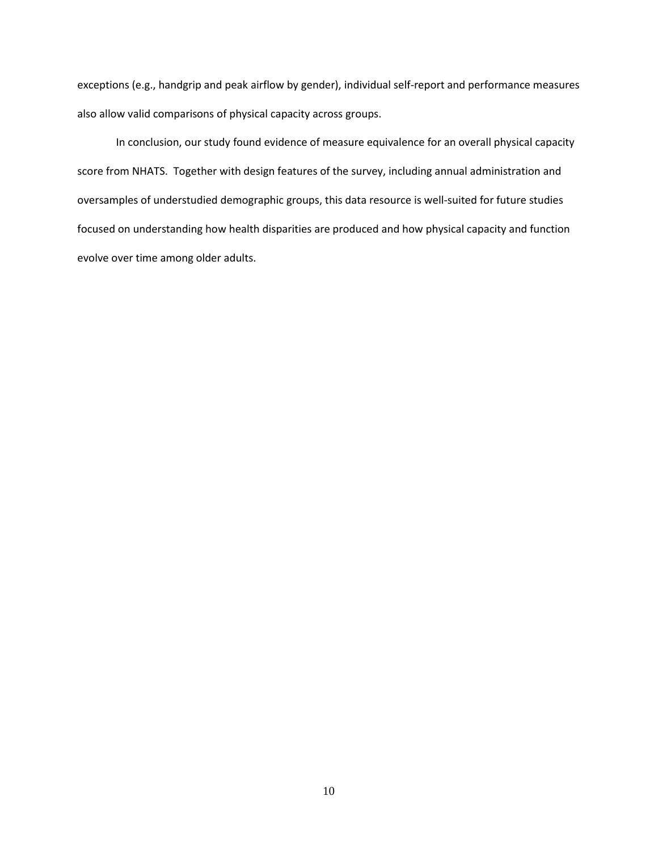exceptions (e.g., handgrip and peak airflow by gender), individual self-report and performance measures also allow valid comparisons of physical capacity across groups.

In conclusion, our study found evidence of measure equivalence for an overall physical capacity score from NHATS. Together with design features of the survey, including annual administration and oversamples of understudied demographic groups, this data resource is well-suited for future studies focused on understanding how health disparities are produced and how physical capacity and function evolve over time among older adults.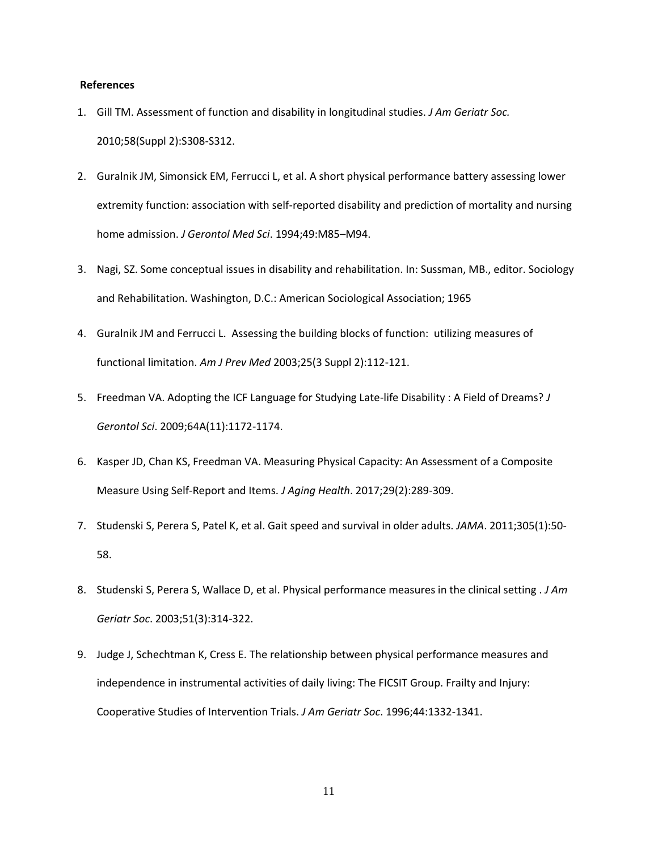## **References**

- 1. Gill TM. Assessment of function and disability in longitudinal studies. *[J Am Geriatr Soc.](https://www.ncbi.nlm.nih.gov/pubmed/21029059)* 2010;58(Suppl 2):S308-S312.
- 2. Guralnik JM, Simonsick EM, Ferrucci L, et al. A short physical performance battery assessing lower extremity function: association with self-reported disability and prediction of mortality and nursing home admission. *J Gerontol Med Sci*. 1994;49:M85–M94.
- 3. Nagi, SZ. Some conceptual issues in disability and rehabilitation. In: Sussman, MB., editor. Sociology and Rehabilitation. Washington, D.C.: American Sociological Association; 1965
- 4. Guralnik JM and Ferrucci L. Assessing the building blocks of function: utilizing measures of functional limitation. *Am J Prev Med* 2003;25(3 Suppl 2):112-121.
- 5. Freedman VA. Adopting the ICF Language for Studying Late-life Disability : A Field of Dreams? *J Gerontol Sci*. 2009;64A(11):1172-1174.
- 6. Kasper JD, Chan KS, Freedman VA. Measuring Physical Capacity: An Assessment of a Composite Measure Using Self-Report and Items. *J Aging Health*. 2017;29(2):289-309.
- 7. Studenski S, Perera S, Patel K, et al. Gait speed and survival in older adults. *JAMA*. 2011;305(1):50- 58.
- 8. Studenski S, Perera S, Wallace D, et al. Physical performance measures in the clinical setting . *J Am Geriatr Soc*. 2003;51(3):314-322.
- 9. Judge J, Schechtman K, Cress E. The relationship between physical performance measures and independence in instrumental activities of daily living: The FICSIT Group. Frailty and Injury: Cooperative Studies of Intervention Trials. *J Am Geriatr Soc*. 1996;44:1332-1341.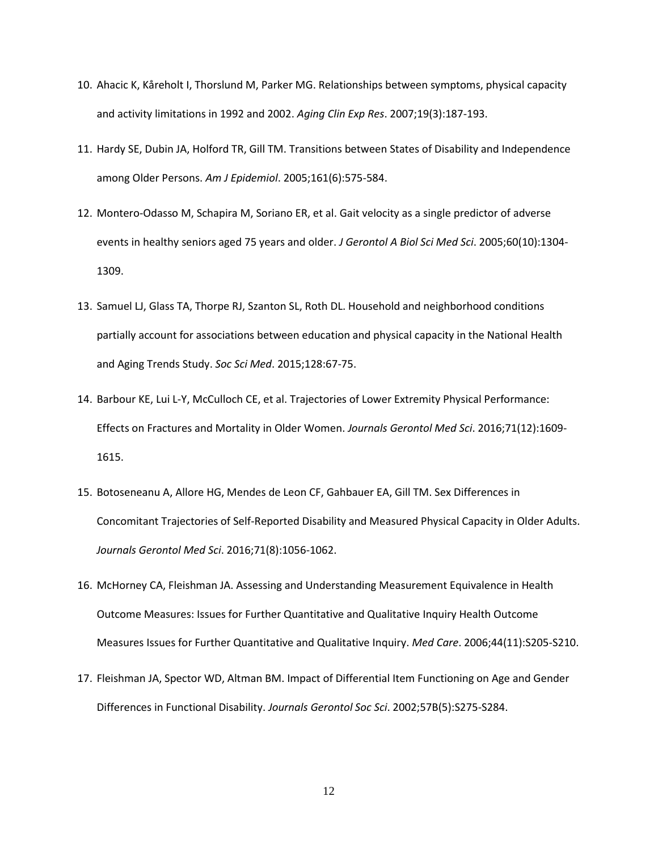- 10. Ahacic K, Kåreholt I, Thorslund M, Parker MG. Relationships between symptoms, physical capacity and activity limitations in 1992 and 2002. *Aging Clin Exp Res*. 2007;19(3):187-193.
- 11. Hardy SE, Dubin JA, Holford TR, Gill TM. Transitions between States of Disability and Independence among Older Persons. *Am J Epidemiol*. 2005;161(6):575-584.
- 12. Montero-Odasso M, Schapira M, Soriano ER, et al. Gait velocity as a single predictor of adverse events in healthy seniors aged 75 years and older. *J Gerontol A Biol Sci Med Sci*. 2005;60(10):1304- 1309.
- 13. Samuel LJ, Glass TA, Thorpe RJ, Szanton SL, Roth DL. Household and neighborhood conditions partially account for associations between education and physical capacity in the National Health and Aging Trends Study. *Soc Sci Med*. 2015;128:67-75.
- 14. Barbour KE, Lui L-Y, McCulloch CE, et al. Trajectories of Lower Extremity Physical Performance: Effects on Fractures and Mortality in Older Women. *Journals Gerontol Med Sci*. 2016;71(12):1609- 1615.
- 15. Botoseneanu A, Allore HG, Mendes de Leon CF, Gahbauer EA, Gill TM. Sex Differences in Concomitant Trajectories of Self-Reported Disability and Measured Physical Capacity in Older Adults. *Journals Gerontol Med Sci*. 2016;71(8):1056-1062.
- 16. McHorney CA, Fleishman JA. Assessing and Understanding Measurement Equivalence in Health Outcome Measures: Issues for Further Quantitative and Qualitative Inquiry Health Outcome Measures Issues for Further Quantitative and Qualitative Inquiry. *Med Care*. 2006;44(11):S205-S210.
- 17. Fleishman JA, Spector WD, Altman BM. Impact of Differential Item Functioning on Age and Gender Differences in Functional Disability. *Journals Gerontol Soc Sci*. 2002;57B(5):S275-S284.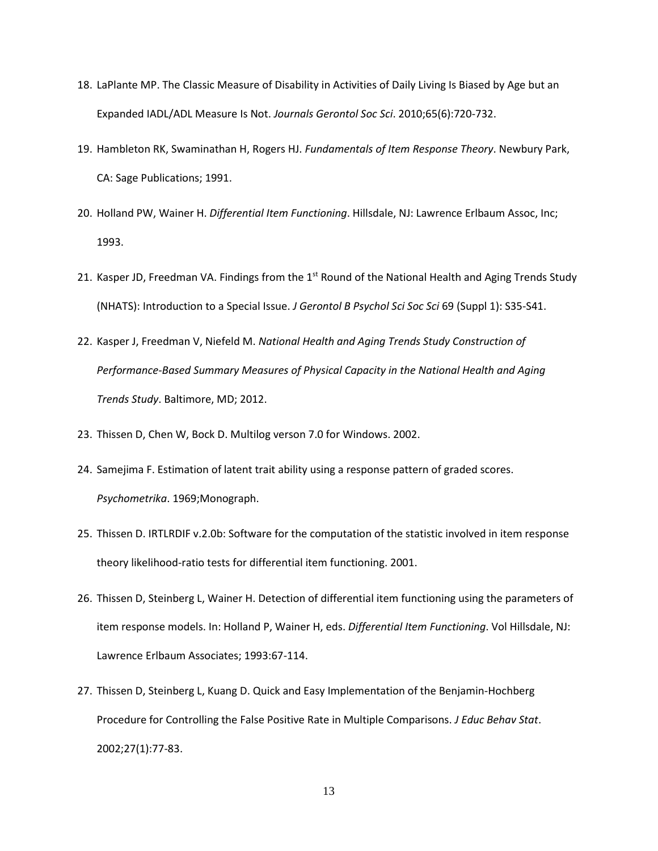- 18. LaPlante MP. The Classic Measure of Disability in Activities of Daily Living Is Biased by Age but an Expanded IADL/ADL Measure Is Not. *Journals Gerontol Soc Sci*. 2010;65(6):720-732.
- 19. Hambleton RK, Swaminathan H, Rogers HJ. *Fundamentals of Item Response Theory*. Newbury Park, CA: Sage Publications; 1991.
- 20. Holland PW, Wainer H. *Differential Item Functioning*. Hillsdale, NJ: Lawrence Erlbaum Assoc, Inc; 1993.
- 21. Kasper JD, Freedman VA. Findings from the 1<sup>st</sup> Round of the National Health and Aging Trends Study (NHATS): Introduction to a Special Issue. *J Gerontol B Psychol Sci Soc Sci* 69 (Suppl 1): S35-S41.
- 22. Kasper J, Freedman V, Niefeld M. *National Health and Aging Trends Study Construction of Performance-Based Summary Measures of Physical Capacity in the National Health and Aging Trends Study*. Baltimore, MD; 2012.
- 23. Thissen D, Chen W, Bock D. Multilog verson 7.0 for Windows. 2002.
- 24. Samejima F. Estimation of latent trait ability using a response pattern of graded scores. *Psychometrika*. 1969;Monograph.
- 25. Thissen D. IRTLRDIF v.2.0b: Software for the computation of the statistic involved in item response theory likelihood-ratio tests for differential item functioning. 2001.
- 26. Thissen D, Steinberg L, Wainer H. Detection of differential item functioning using the parameters of item response models. In: Holland P, Wainer H, eds. *Differential Item Functioning*. Vol Hillsdale, NJ: Lawrence Erlbaum Associates; 1993:67-114.
- 27. Thissen D, Steinberg L, Kuang D. Quick and Easy Implementation of the Benjamin-Hochberg Procedure for Controlling the False Positive Rate in Multiple Comparisons. *J Educ Behav Stat*. 2002;27(1):77-83.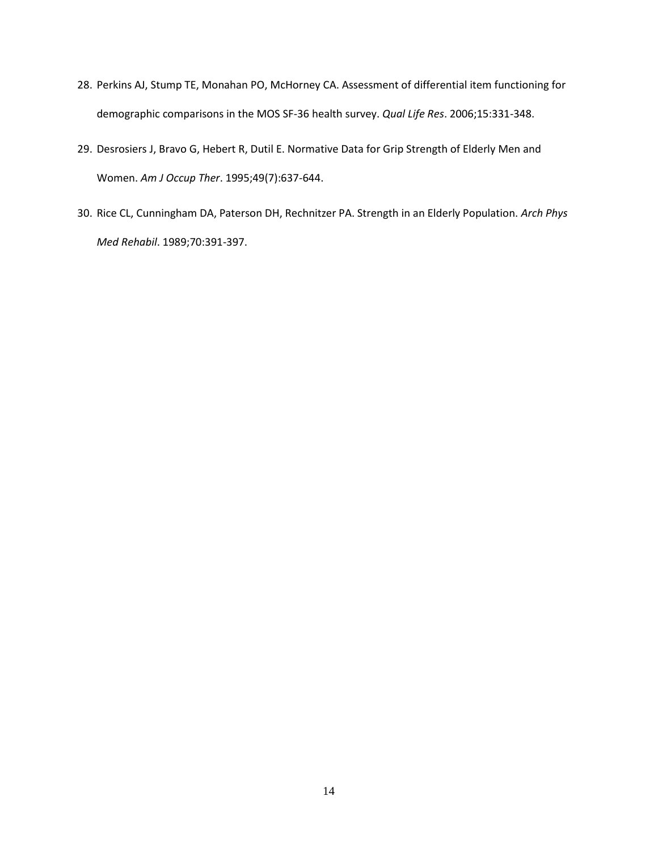- 28. Perkins AJ, Stump TE, Monahan PO, McHorney CA. Assessment of differential item functioning for demographic comparisons in the MOS SF-36 health survey. *Qual Life Res*. 2006;15:331-348.
- 29. Desrosiers J, Bravo G, Hebert R, Dutil E. Normative Data for Grip Strength of Elderly Men and Women. *Am J Occup Ther*. 1995;49(7):637-644.
- 30. Rice CL, Cunningham DA, Paterson DH, Rechnitzer PA. Strength in an Elderly Population. *Arch Phys Med Rehabil*. 1989;70:391-397.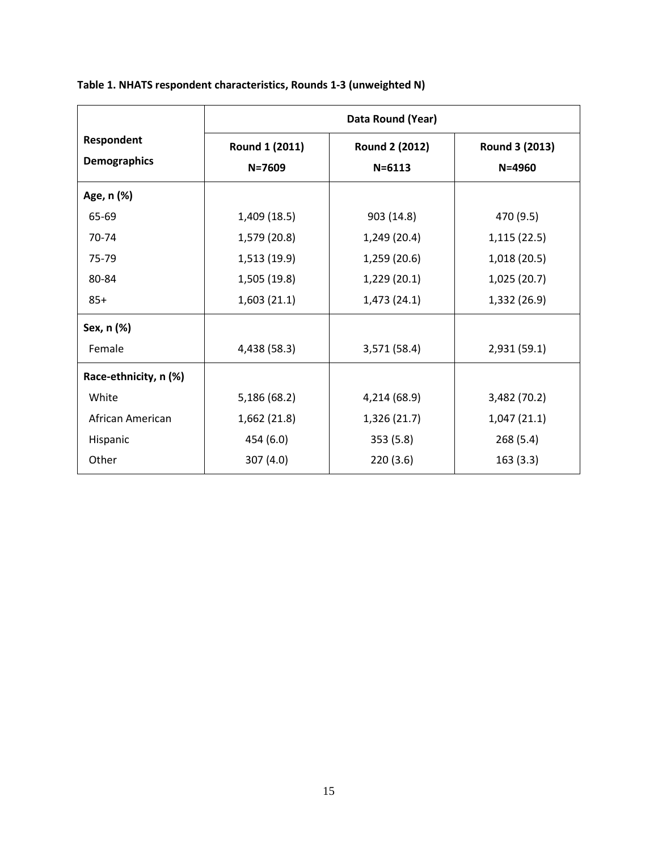|                                   | Data Round (Year)            |                              |                              |  |  |
|-----------------------------------|------------------------------|------------------------------|------------------------------|--|--|
| Respondent<br><b>Demographics</b> | Round 1 (2011)<br>$N = 7609$ | Round 2 (2012)<br>$N = 6113$ | Round 3 (2013)<br>$N = 4960$ |  |  |
| Age, n (%)                        |                              |                              |                              |  |  |
| 65-69                             | 1,409 (18.5)                 | 903 (14.8)                   | 470 (9.5)                    |  |  |
| 70-74                             | 1,579 (20.8)                 | 1,249 (20.4)                 | 1,115(22.5)                  |  |  |
| 75-79                             | 1,513 (19.9)                 | 1,259(20.6)                  | 1,018(20.5)                  |  |  |
| 80-84                             | 1,505 (19.8)                 | 1,229(20.1)                  | 1,025(20.7)                  |  |  |
| $85+$                             | 1,603(21.1)                  | 1,473(24.1)                  | 1,332 (26.9)                 |  |  |
| Sex, n (%)                        |                              |                              |                              |  |  |
| Female                            | 4,438 (58.3)                 | 3,571 (58.4)                 | 2,931(59.1)                  |  |  |
| Race-ethnicity, n (%)             |                              |                              |                              |  |  |
| White                             | 5,186 (68.2)                 | 4,214 (68.9)                 | 3,482 (70.2)                 |  |  |
| African American                  | 1,662(21.8)                  | 1,326 (21.7)                 | 1,047(21.1)                  |  |  |
| Hispanic                          | 454 (6.0)                    | 353(5.8)                     | 268 (5.4)                    |  |  |
| Other                             | 307(4.0)                     | 220(3.6)                     | 163(3.3)                     |  |  |

# **Table 1. NHATS respondent characteristics, Rounds 1-3 (unweighted N)**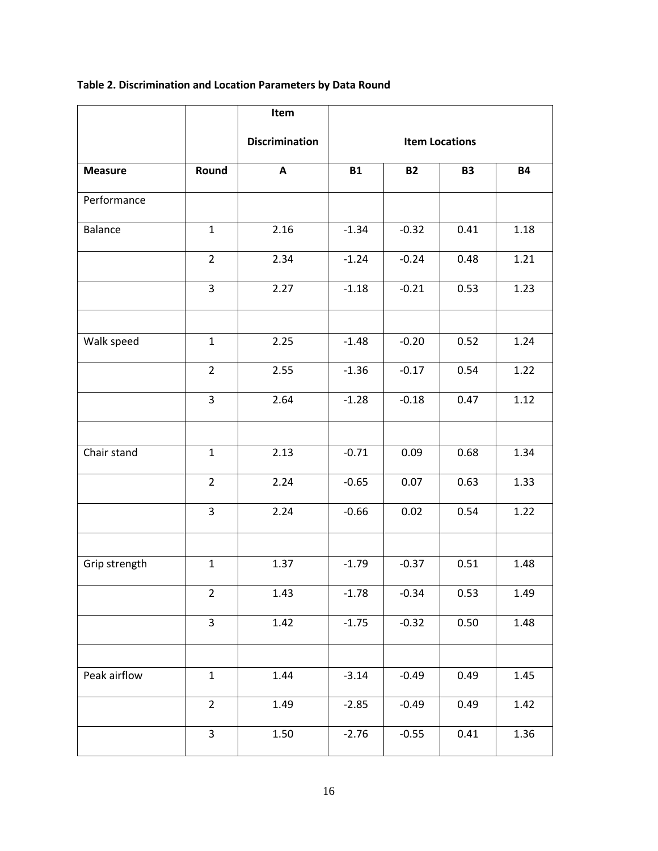# **Table 2. Discrimination and Location Parameters by Data Round**

|                |                | Item                  |                       |           |           |           |
|----------------|----------------|-----------------------|-----------------------|-----------|-----------|-----------|
|                |                | <b>Discrimination</b> | <b>Item Locations</b> |           |           |           |
| <b>Measure</b> | Round          | A                     | <b>B1</b>             | <b>B2</b> | <b>B3</b> | <b>B4</b> |
| Performance    |                |                       |                       |           |           |           |
| Balance        | $\mathbf{1}$   | 2.16                  | $-1.34$               | $-0.32$   | 0.41      | 1.18      |
|                | $\overline{2}$ | 2.34                  | $-1.24$               | $-0.24$   | 0.48      | 1.21      |
|                | 3              | 2.27                  | $-1.18$               | $-0.21$   | 0.53      | 1.23      |
|                |                |                       |                       |           |           |           |
| Walk speed     | $\mathbf{1}$   | 2.25                  | $-1.48$               | $-0.20$   | 0.52      | 1.24      |
|                | $\overline{2}$ | 2.55                  | $-1.36$               | $-0.17$   | 0.54      | 1.22      |
|                | 3              | 2.64                  | $-1.28$               | $-0.18$   | 0.47      | 1.12      |
|                |                |                       |                       |           |           |           |
| Chair stand    | $\mathbf{1}$   | 2.13                  | $-0.71$               | 0.09      | 0.68      | 1.34      |
|                | $\overline{2}$ | 2.24                  | $-0.65$               | 0.07      | 0.63      | 1.33      |
|                | 3              | 2.24                  | $-0.66$               | 0.02      | 0.54      | 1.22      |
|                |                |                       |                       |           |           |           |
| Grip strength  | $\mathbf{1}$   | 1.37                  | $-1.79$               | $-0.37$   | 0.51      | 1.48      |
|                | $\overline{2}$ | 1.43                  | $-1.78$               | $-0.34$   | 0.53      | 1.49      |
|                | 3              | 1.42                  | $-1.75$               | $-0.32$   | 0.50      | 1.48      |
|                |                |                       |                       |           |           |           |
| Peak airflow   | $\mathbf{1}$   | 1.44                  | $-3.14$               | $-0.49$   | 0.49      | 1.45      |
|                | $\overline{2}$ | 1.49                  | $-2.85$               | $-0.49$   | 0.49      | 1.42      |
|                | 3              | 1.50                  | $-2.76$               | $-0.55$   | 0.41      | 1.36      |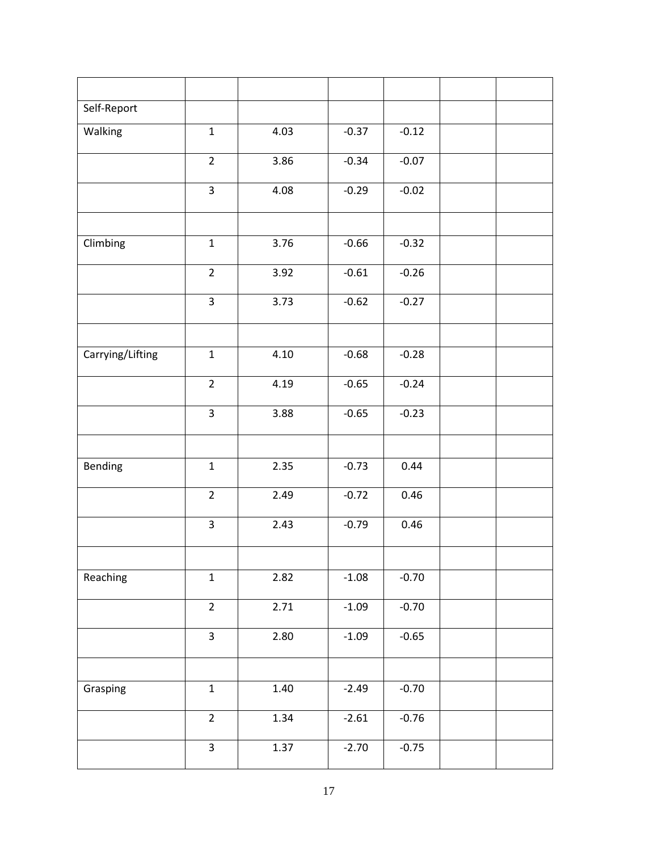| Self-Report      |                         |      |         |         |  |
|------------------|-------------------------|------|---------|---------|--|
| Walking          | $\mathbf{1}$            | 4.03 | $-0.37$ | $-0.12$ |  |
|                  | $\overline{2}$          | 3.86 | $-0.34$ | $-0.07$ |  |
|                  | 3                       | 4.08 | $-0.29$ | $-0.02$ |  |
|                  |                         |      |         |         |  |
| Climbing         | $\mathbf{1}$            | 3.76 | $-0.66$ | $-0.32$ |  |
|                  | $\overline{2}$          | 3.92 | $-0.61$ | $-0.26$ |  |
|                  | $\overline{3}$          | 3.73 | $-0.62$ | $-0.27$ |  |
|                  |                         |      |         |         |  |
| Carrying/Lifting | $\mathbf{1}$            | 4.10 | $-0.68$ | $-0.28$ |  |
|                  | $\overline{2}$          | 4.19 | $-0.65$ | $-0.24$ |  |
|                  | 3                       | 3.88 | $-0.65$ | $-0.23$ |  |
|                  |                         |      |         |         |  |
| Bending          | $\mathbf 1$             | 2.35 | $-0.73$ | 0.44    |  |
|                  | $\overline{2}$          | 2.49 | $-0.72$ | 0.46    |  |
|                  | $\overline{\mathbf{3}}$ | 2.43 | $-0.79$ | 0.46    |  |
|                  |                         |      |         |         |  |
| Reaching         | $\mathbf{1}$            | 2.82 | $-1.08$ | $-0.70$ |  |
|                  | $\overline{2}$          | 2.71 | $-1.09$ | $-0.70$ |  |
|                  | $\overline{\mathbf{3}}$ | 2.80 | $-1.09$ | $-0.65$ |  |
|                  |                         |      |         |         |  |
| Grasping         | $\mathbf 1$             | 1.40 | $-2.49$ | $-0.70$ |  |
|                  | $\overline{2}$          | 1.34 | $-2.61$ | $-0.76$ |  |
|                  | $\overline{3}$          | 1.37 | $-2.70$ | $-0.75$ |  |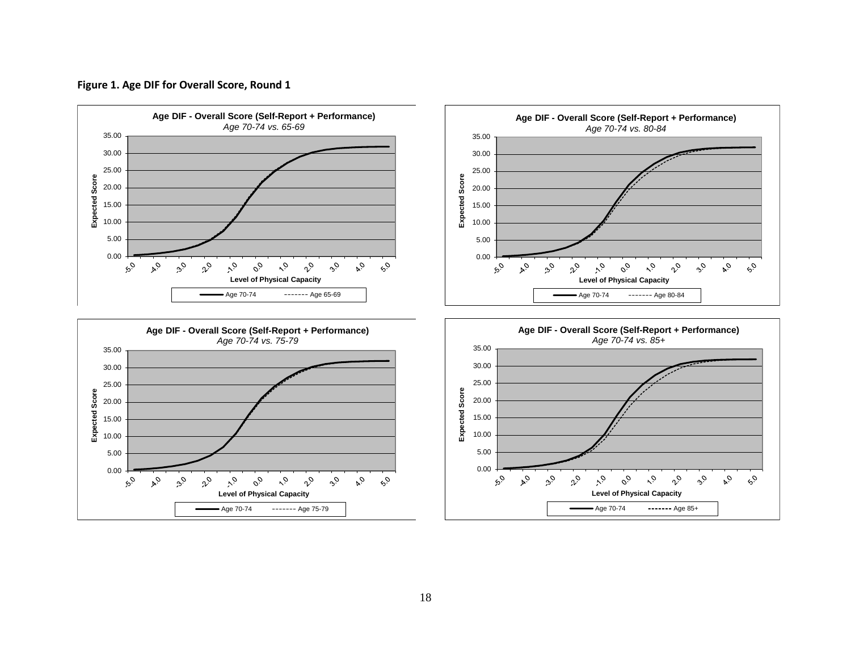



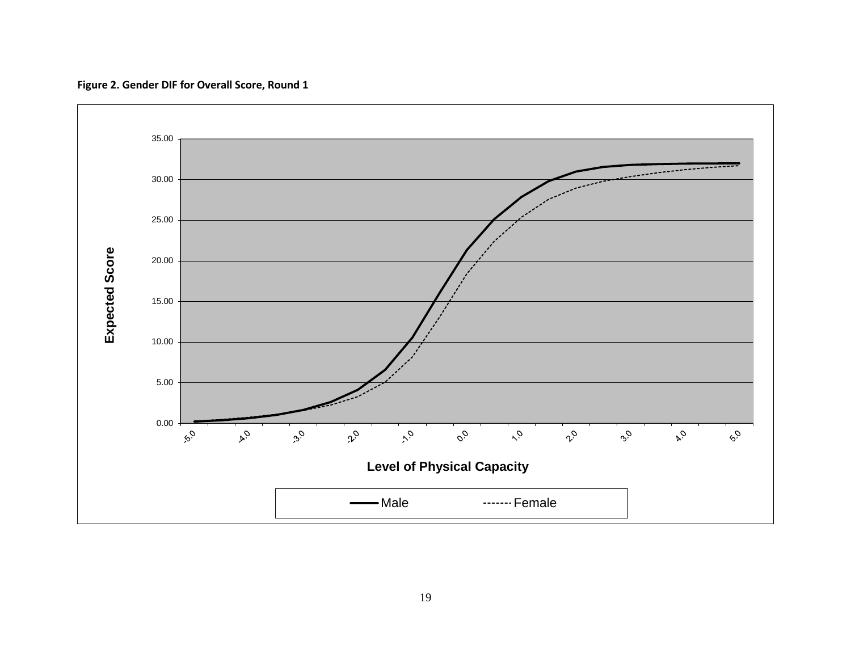

**Figure 2. Gender DIF for Overall Score, Round 1**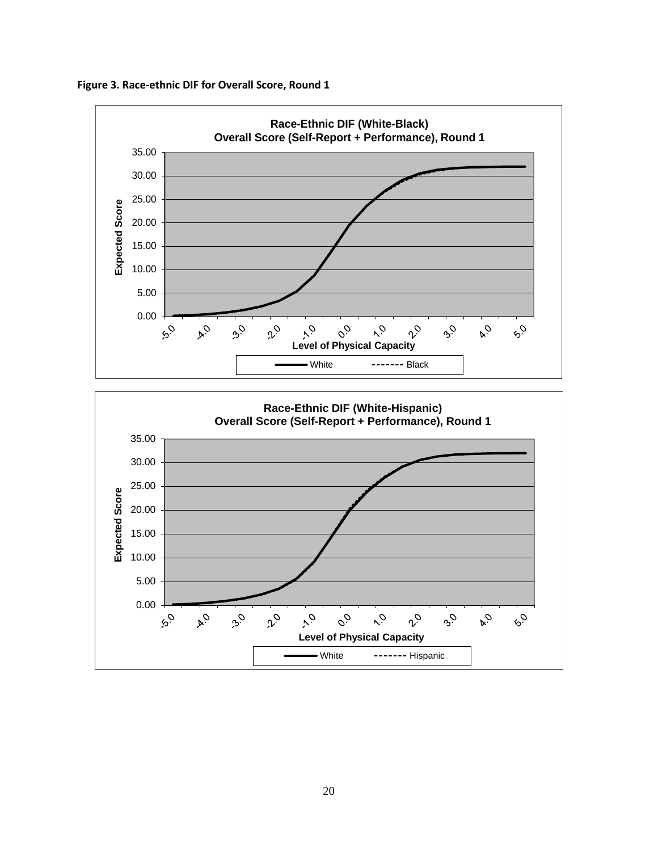